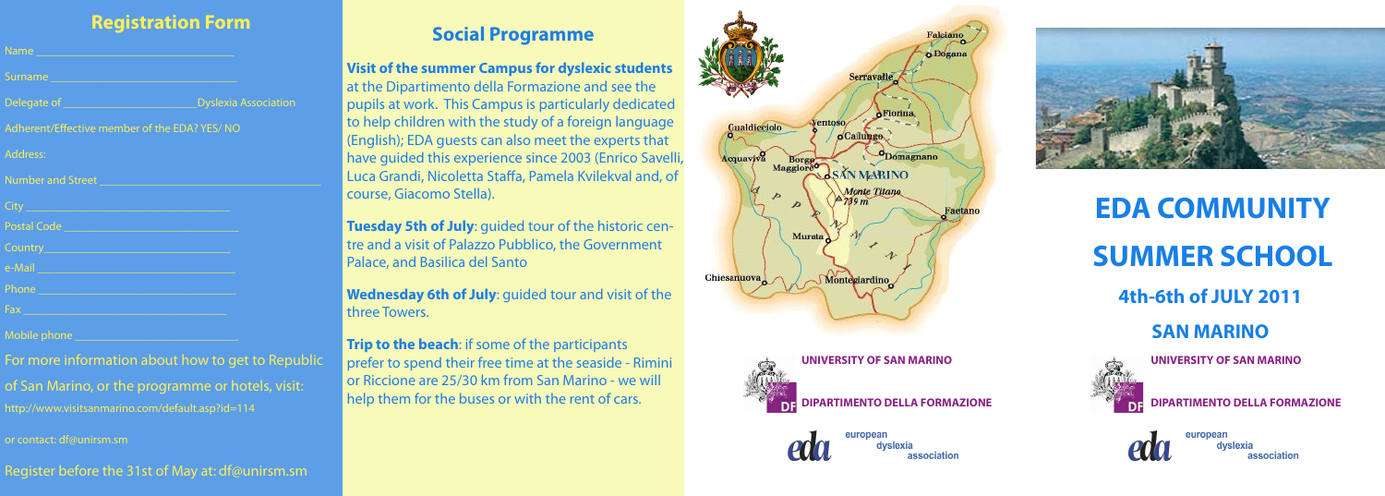# **EDA COMMUNITY SUMMER SCHOOL**

**4th-6th of JULY 2011**

**SAN MARINO**



**UNIVERSITY OF SAN MARINO**

#### **DIPARTIMENTO DELLA FORMAZIONE**



# **Registration Form**

| Name and the contract of the contract of the contract of the contract of the contract of the contract of the contract of the contract of the contract of the contract of the contract of the contract of the contract of the c       |                             |  |
|--------------------------------------------------------------------------------------------------------------------------------------------------------------------------------------------------------------------------------------|-----------------------------|--|
| Surname                                                                                                                                                                                                                              |                             |  |
|                                                                                                                                                                                                                                      | <b>Dyslexia Association</b> |  |
| Adherent/Effective member of the EDA? YES/ NO                                                                                                                                                                                        |                             |  |
| Address:                                                                                                                                                                                                                             |                             |  |
| Number and Street                                                                                                                                                                                                                    |                             |  |
|                                                                                                                                                                                                                                      |                             |  |
| Postal Code                                                                                                                                                                                                                          |                             |  |
|                                                                                                                                                                                                                                      |                             |  |
| e-Mail 2008 - 2008 - 2008 - 2019 - 2019 - 2019 - 2019 - 2019 - 2019 - 2019 - 2019 - 2019 - 2019 - 2019 - 2019                                                                                                                        |                             |  |
| Phone 2008 - 2009 - 2009 - 2009 - 2009 - 2009 - 2009 - 2009 - 2009 - 2009 - 2009 - 2009 - 2009 - 2009 - 2009 -                                                                                                                       |                             |  |
| Fax <b>Executive Contract Contract Contract Contract Contract Contract Contract Contract Contract Contract Contract Contract Contract Contract Contract Contract Contract Contract Contract Contract Contract Contract Contract </b> |                             |  |

Mobile phone

For more information about how to get to Republic

of San Marino, or the programme or hotels, visit: http://www.visitsanmarino.com/default.asp?id=114

or contact: df@unirsm.sm

**Trip to the beach:** if some of the participants prefer to spend their free time at the seaside - Rimini or Riccione are 25/30 km from San Marino - we will help them for the buses or with the rent of cars.





Register before the 31st of May at: df@unirsm.sm

# **Social Programme**

### **Visit of the summer Campus for dyslexic students**

at the Dipartimento della Formazione and see the pupils at work. This Campus is particularly dedicated to help children with the study of a foreign language (English); EDA guests can also meet the experts that have guided this experience since 2003 (Enrico Savelli, Luca Grandi, Nicoletta Staffa, Pamela Kvilekval and, of course, Giacomo Stella).

**Tuesday 5th of July**: guided tour of the historic centre and a visit of Palazzo Pubblico, the Government Palace, and Basilica del Santo

**Wednesday 6th of July**: guided tour and visit of the three Towers.

**UNIVERSITY OF SAN MARINO**

**DIPARTIMENTO DELLA FORMAZIONE**